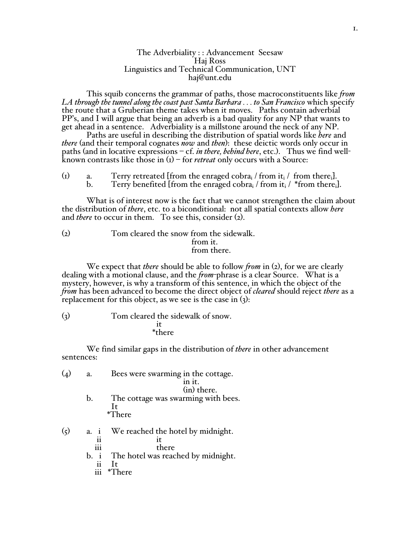## The Adverbiality : : Advancement Seesaw Haj Ross Linguistics and Technical Communication, UNT haj@unt.edu

This squib concerns the grammar of paths, those macroconstituents like *from LA through the tunnel along the coast past Santa Barbara . . . to San Francisco* which specify the route that a Gruberian theme takes when it moves. Paths contain adverbial PP's, and I will argue that being an adverb is a bad quality for any NP that wants to get ahead in a sentence. Adverbiality is a millstone around the neck of any NP.

Paths are useful in describing the distribution of spatial words like *here* and *there* (and their temporal cognates *now* and *then*): these deictic words only occur in paths (and in locative expressions – cf. *in there, behind here*, etc.). Thus we find wellknown contrasts like those in (1) – for *retreat* only occurs with a Source:

(1) a. Terry retreated [from the enraged cobra<sub>i</sub> / from it<sub>i</sub> / from there<sub>i</sub>].<br>b. Terry benefited [from the enraged cobra<sub>i</sub> / from it<sub>i</sub> / \*from there<sub>i</sub>] Terry benefited [from the enraged cobra<sub>i</sub> / from it<sub>i</sub> / \*from there<sub>i</sub>].

What is of interest now is the fact that we cannot strengthen the claim about the distribution of *there*, etc. to a biconditional: not all spatial contexts allow *here* and *there* to occur in them. To see this, consider (2).

(2) Tom cleared the snow from the sidewalk. from it. from there.

We expect that *there* should be able to follow *from* in (2), for we are clearly dealing with a motional clause, and the *from*-phrase is a clear Source. What is a mystery, however, is why a transform of this sentence, in which the object of the from has been advanced to become the direct object of *cleared* should reject *there* as a replacement for this object, as we see is the case in (3):

(3) Tom cleared the sideways of snow.  
\n
$$
it
$$
\n $* there$ 

We find similar gaps in the distribution of *there* in other advancement sentences:

|                      | a.                                     | Bees were swarming in the cottage.<br>in it.                                                             |
|----------------------|----------------------------------------|----------------------------------------------------------------------------------------------------------|
|                      | b.                                     | (in) there.<br>The cottage was swarming with bees.<br><b>It</b><br><i>*</i> There                        |
| $\left(\zeta\right)$ | a. 1<br>ii<br>iii<br>b. i<br>ii<br>iii | We reached the hotel by midnight.<br>1t<br>there<br>The hotel was reached by midnight.<br>It<br>$*There$ |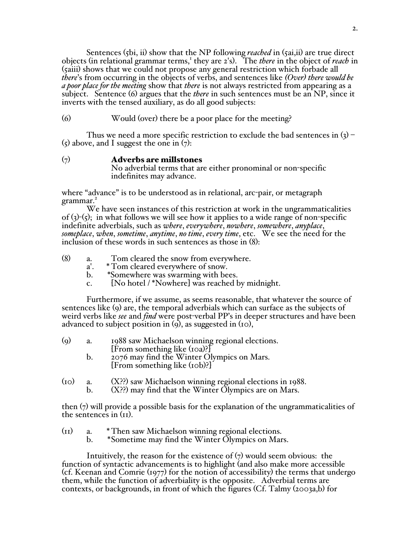Sentences (5bi, ii) show that the NP following *reached* in (5ai,ii) are true direct objects (in relational grammar terms,<sup>1</sup> they are 2's). The *there* in the object of *reach* in (5aiii) shows that we could not propose any general restriction which forbade all *there*'s from occurring in the objects of verbs, and sentences like *(Over) there would be a poor place for the meeting* show that *there* is not always restricted from appearing as a subject. Sentence (6) argues that the *there* in such sentences must be an NP, since it inverts with the tensed auxiliary, as do all good subjects:

(6) Would (over) there be a poor place for the meeting?

Thus we need a more specific restriction to exclude the bad sentences in  $(3)$  –  $(5)$  above, and I suggest the one in  $(7)$ :

 $(7)$  Adverbs are millstones

No adverbial terms that are either pronominal or non-specific indefinites may advance.

where "advance" is to be understood as in relational, arc-pair, or metagraph grammar.<sup>2</sup>

We have seen instances of this restriction at work in the ungrammaticalities of  $(3)-(5)$ ; in what follows we will see how it applies to a wide range of non-specific indefinite adverbials, such as *where*, *everywhere*, *nowhere*, *somewhere*, *anyplace*, *someplace*, *when*, *sometime*, *anytime*, *no time*, *every time*, etc. We see the need for the inclusion of these words in such sentences as those in (8):

- (8) a. Tom cleared the snow from everywhere.<br>a'. \*Tom cleared everywhere of snow.
	- a'. \* Tom cleared everywhere of snow.<br>b. \* Somewhere was swarming with be
	- b. \*Somewhere was swarming with bees.
	- c. [No hotel / \*Nowhere] was reached by midnight.

Furthermore, if we assume, as seems reasonable, that whatever the source of sentences like (9) are, the temporal adverbials which can surface as the subjects of weird verbs like *see* and *find* were post-verbal PP's in deeper structures and have been advanced to subject position in  $(q)$ , as suggested in  $(10)$ ,

| $\left( 0 \right)$ | 1988 saw Michaelson winning regional elections.                                                                                                                                                                                                                                                                                                                                                                               |
|--------------------|-------------------------------------------------------------------------------------------------------------------------------------------------------------------------------------------------------------------------------------------------------------------------------------------------------------------------------------------------------------------------------------------------------------------------------|
|                    | [From something like (10a)?]                                                                                                                                                                                                                                                                                                                                                                                                  |
|                    | $\epsilon$ = $\epsilon$ = $\epsilon$ = $\epsilon$ = $\epsilon$ + $\epsilon$ = $\epsilon$ = $\epsilon$ = $\epsilon$ = $\epsilon$ = $\epsilon$ = $\epsilon$ = $\epsilon$ = $\epsilon$ = $\epsilon$ = $\epsilon$ = $\epsilon$ = $\epsilon$ = $\epsilon$ = $\epsilon$ = $\epsilon$ = $\epsilon$ = $\epsilon$ = $\epsilon$ = $\epsilon$ = $\epsilon$ = $\epsilon$ = $\epsilon$ = $\epsilon$ = $\epsilon$ = $\epsilon$ = $\epsilon$ |

- b. 2076 may find the Winter Olympics on Mars. [From something like (10b)?]
- (10) a. (X??) saw Michaelson winning regional elections in 1988. b. (X??) may find that the Winter Olympics are on Mars.
	-

then (7) will provide a possible basis for the explanation of the ungrammaticalities of the sentences in (11).

- (11) a. \* Then saw Michaelson winning regional elections. b. \*Sometime may find the Winter Olympics on Mars.
	-

Intuitively, the reason for the existence of  $(7)$  would seem obvious: the function of syntactic advancements is to highlight (and also make more accessible (cf. Keenan and Comrie (1977) for the notion of accessibility) the terms that undergo them, while the function of adverbiality is the opposite. Adverbial terms are contexts, or backgrounds, in front of which the figures (Cf. Talmy (2003a,b) for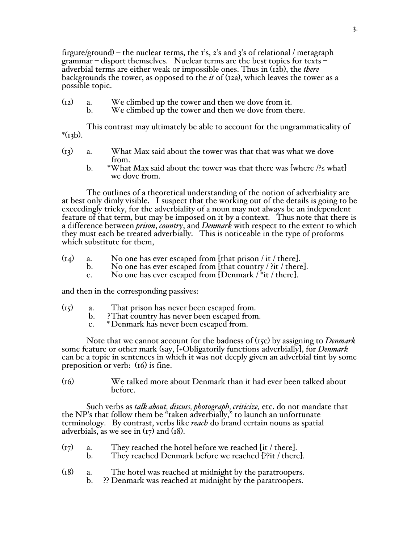firgure/ground) – the nuclear terms, the 1's, 2's and 3's of relational / metagraph grammar – disport themselves. Nuclear terms are the best topics for texts – adverbial terms are either weak or impossible ones. Thus in (12b), the *there* backgrounds the tower, as opposed to the *it* of (12a), which leaves the tower as a possible topic.

(12) a. We climbed up the tower and then we dove from it. b. We climbed up the tower and then we dove from there.

This contrast may ultimately be able to account for the ungrammaticality of  $*(13b).$ 

- (13) a. What Max said about the tower was that that was what we dove from.
	- b. \*What Max said about the tower was that there was [where  $\frac{1}{5}$  what] we dove from.

The outlines of a theoretical understanding of the notion of adverbiality are at best only dimly visible. I suspect that the working out of the details is going to be exceedingly tricky, for the adverbiality of a noun may not always be an independent feature of that term, but may be imposed on it by a context. Thus note that there is a difference between *prison*, *country*, and *Denmark* with respect to the extent to which they must each be treated adverbially. This is noticeable in the type of proforms which substitute for them,

- $(14)$  a. No one has ever escaped from [that prison / it / there].<br>b. No one has ever escaped from [that country / ?it / there
	- No one has ever escaped from [that country  $\frac{1}{2}$  ?it / there].
	- c. No one has ever escaped from [Denmark / \*it / there].

and then in the corresponding passives:

- (15) a. That prison has never been escaped from.
	- b. ?That country has never been escaped from.
	- c. \* Denmark has never been escaped from.

Note that we cannot account for the badness of (15c) by assigning to *Denmark* some feature or other mark (say, [+Obligatorily functions adverbially], for *Denmark* can be a topic in sentences in which it was not deeply given an adverbial tint by some preposition or verb: (16) is fine.

(16) We talked more about Denmark than it had ever been talked about before.

Such verbs as *talk about, discuss, photograph, criticize,* etc. do not mandate that the NP's that follow them be "taken adverbially," to launch an unfortunate terminology. By contrast, verbs like *reach* do brand certain nouns as spatial adverbials, as we see in  $(\frac{17}{2})$  and  $(\frac{18}{2})$ .

- (17) a. They reached the hotel before we reached [it / there].<br>b. They reached Denmark before we reached [??it / there
	- They reached Denmark before we reached [??it / there].
- (18) a. The hotel was reached at midnight by the paratroopers. b. ?? Denmark was reached at midnight by the paratroopers.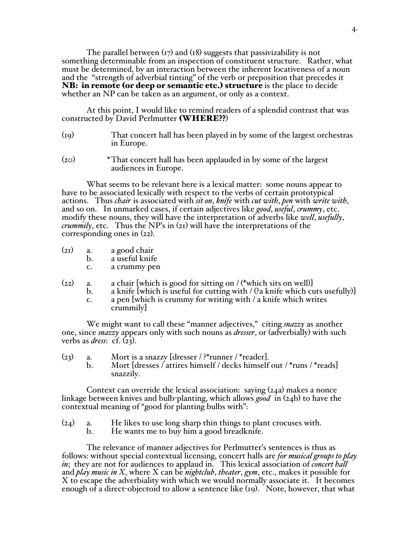The parallel between  $(r_7)$  and  $(r_8)$  suggests that passivizability is not something determinable from an inspection of constituent structure. Rather, what must be determined, by an interaction between the inherent locativeness of a noun and the "strength of adverbial tinting" of the verb or preposition that precedes it **NB: in remote (or deep or semantic etc.) structure** is the place to decide whether an NP can be taken as an argument, or only as a context.

At this point, I would like to remind readers of a splendid contrast that was constructed by David Perlmutter (WHERE??)

- (19) That concert hall has been played in by some of the largest orchestras in Europe.
- (20) \*That concert hall has been applauded in by some of the largest audiences in Europe.

What seems to be relevant here is a lexical matter: some nouns appear to have to be associated lexically with respect to the verbs of certain prototypical actions. Thus *chair* is associated with *sit on*, *knife* with *cut with*, *pen* with *write with*, and so on. In unmarked cases, if certain adjectives like *good*, *useful*, *crummy*, etc. modify these nouns, they will have the interpretation of adverbs like *well*, *usefully*, *crummily*, etc. Thus the NP's in (21) will have the interpretations of the corresponding ones in (22).

- (21) a. a good chair
	- b. a useful knife
	- c. a crummy pen
- $(22)$  a. a chair [which is good for sitting on / (\*which sits on well)]
	- b. a knife [which is useful for cutting with  $/$  (?a knife which cuts usefully)]
	- c. a pen [which is crummy for writing with / a knife which writes crummily]

We might want to call these "manner adjectives," citing *snazzy* as another one, since *snazzy* appears only with such nouns as *dresser*, or (adverbially) with such verbs as *dress*: cf. (23).

- (23) a. Mort is a snazzy [dresser / ?\*runner / \*reader].<br>b. Mort [dresses / attires himself / decks himself
	- Mort [dresses / attires himself / decks himself out / \*runs / \*reads] snazzily.

Context can override the lexical association: saying (24a) makes a nonce linkage between knives and bulb-planting, which allows *good* in (24b) to have the contextual meaning of "good for planting bulbs with":

- $(24)$  a. He likes to use long sharp thin things to plant crocuses with.<br>b. He wants me to buy him a good breadknife.
	- He wants me to buy him a good breadknife.

The relevance of manner adjectives for Perlmutter's sentences is thus as follows: without special contextual licensing, concert halls are *for musical groups to play in*; they are not for audiences to applaud in. This lexical association of *concert hall* and *play music in X*, where X can be *nightclub*, *theater*, *gym*, etc., makes it possible for X to escape the adverbiality with which we would normally associate it. It becomes enough of a direct-objectoid to allow a sentence like (19). Note, however, that what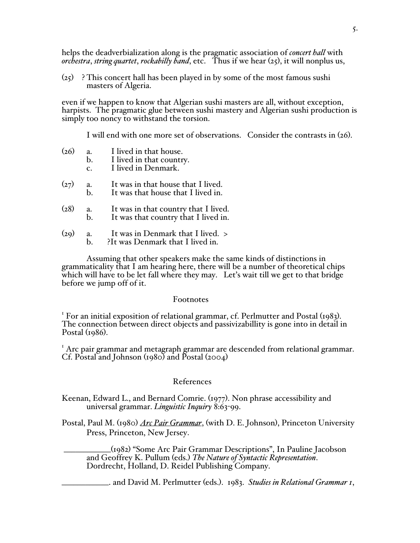helps the deadverbialization along is the pragmatic association of *concert hall* with *orchestra*, *string quartet*, *rockabilly band*, etc. Thus if we hear (25), it will nonplus us,

 $(25)$  ? This concert hall has been played in by some of the most famous sushi masters of Algeria.

even if we happen to know that Algerian sushi masters are all, without exception, harpists. The pragmatic glue between sushi mastery and Algerian sushi production is simply too noncy to withstand the torsion.

I will end with one more set of observations. Consider the contrasts in (26).

- $(26)$  a. I lived in that house.<br>b. I lived in that country
	- I lived in that country.
	- c. I lived in Denmark.
- $(27)$  a. It was in that house that I lived.<br>b. It was that house that I lived in.
	- It was that house that I lived in.
- (28) a. It was in that country that I lived. b. It was that country that I lived in.
- (29) a. It was in Denmark that I lived. >
	- ?It was Denmark that I lived in.

Assuming that other speakers make the same kinds of distinctions in grammaticality that I am hearing here, there will be a number of theoretical chips which will have to be let fall where they may. Let's wait till we get to that bridge before we jump off of it.

## Footnotes

<sup>I</sup> For an initial exposition of relational grammar, cf. Perlmutter and Postal (1983). The connection between direct objects and passivizabillity is gone into in detail in Postal (1986).

<sup>1</sup> Arc pair grammar and metagraph grammar are descended from relational grammar.<br>Cf. Postal and Johnson (1980) and Postal (2004)

## References

- Keenan, Edward L., and Bernard Comrie. (1977). Non phrase accessibility and universal grammar. *Linguistic Inquiry* 8:63-99.
- Postal, Paul M. (1980) *Arc Pair Grammar*, (with D. E. Johnson), Princeton University Press, Princeton, New Jersey.

 \_\_\_\_\_\_\_\_\_\_\_\_(1982) "Some Arc Pair Grammar Descriptions", In Pauline Jacobson and Geoffrey K. Pullum (eds.) *The Nature of Syntactic Representation*. Dordrecht, Holland, D. Reidel Publishing Company.

\_\_\_\_\_\_\_\_\_\_\_\_. and David M. Perlmutter (eds.). 1983. *Studies in Relational Grammar 1*,